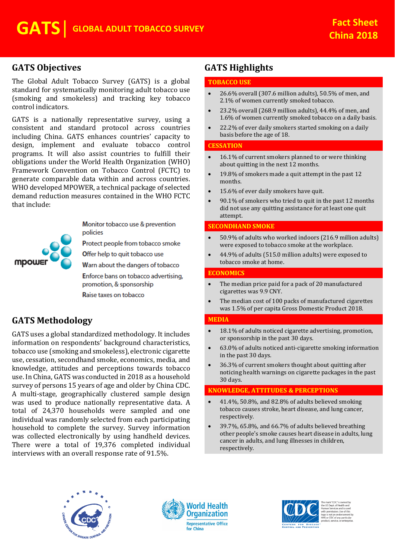## **GATS Objectives**

The Global Adult Tobacco Survey (GATS) is a global standard for systematically monitoring adult tobacco use (smoking and smokeless) and tracking key tobacco control indicators.

GATS is a nationally representative survey, using a consistent and standard protocol across countries including China. GATS enhances countries' capacity to design, implement and evaluate tobacco control programs. It will also assist countries to fulfill their obligations under the World Health Organization (WHO) Framework Convention on Tobacco Control (FCTC) to generate comparable data within and across countries. WHO developed MPOWER, a technical package of selected demand reduction measures contained in the WHO FCTC that include:



Monitor tobacco use & prevention policies

Protect people from tobacco smoke

Offer help to quit tobacco use

Warn about the dangers of tobacco Enforce bans on tobacco advertising,

promotion, & sponsorship

Raise taxes on tobacco

# **GATS Methodology**

GATS uses a global standardized methodology. It includes information on respondents' background characteristics, tobacco use (smoking and smokeless), electronic cigarette use, cessation, secondhand smoke, economics, media, and knowledge, attitudes and perceptions towards tobacco use. In China, GATS was conducted in 2018 as a household survey of persons 15 years of age and older by China CDC. A multi-stage, geographically clustered sample design was used to produce nationally representative data. A total of 24,370 households were sampled and one individual was randomly selected from each participating household to complete the survey. Survey information was collected electronically by using handheld devices. There were a total of 19,376 completed individual interviews with an overall response rate of 91.5%.

# **GATS Highlights**

## **TOBACCO USE**

- 26.6% overall (307.6 million adults), 50.5% of men, and 2.1% of women currently smoked tobacco.
- 23.2% overall (268.9 million adults), 44.4% of men, and 1.6% of women currently smoked tobacco on a daily basis.
- 22.2% of ever daily smokers started smoking on a daily basis before the age of 18.

#### **CESSATION**

- 16.1% of current smokers planned to or were thinking about quitting in the next 12 months.
- 19.8% of smokers made a quit attempt in the past 12 months.
- 15.6% of ever daily smokers have quit.
- 90.1% of smokers who tried to quit in the past 12 months did not use any quitting assistance for at least one quit attempt.

## **SECONDHAND SMOKE**

- 50.9% of adults who worked indoors (216.9 million adults) were exposed to tobacco smoke at the workplace.
- 44.9% of adults (515.0 million adults) were exposed to tobacco smoke at home.

## **ECONOMICS**

- The median price paid for a pack of 20 manufactured cigarettes was 9.9 CNY.
- The median cost of 100 packs of manufactured cigarettes was 1.5% of per capita Gross Domestic Product 2018.

#### **MEDIA**

- 18.1% of adults noticed cigarette advertising, promotion, or sponsorship in the past 30 days.
- 63.0% of adults noticed anti-cigarette smoking information in the past 30 days.
- 36.3% of current smokers thought about quitting after noticing health warnings on cigarette packages in the past 30 days.

## **KNOWLEDGE, ATTITUDES & PERCEPTIONS**

- 41.4%, 50.8%, and 82.8% of adults believed smoking tobacco causes stroke, heart disease, and lung cancer, respectively.
- 39.7%, 65.8%, and 66.7% of adults believed breathing other people's smoke causes heart disease in adults, lung cancer in adults, and lung illnesses in children, respectively.